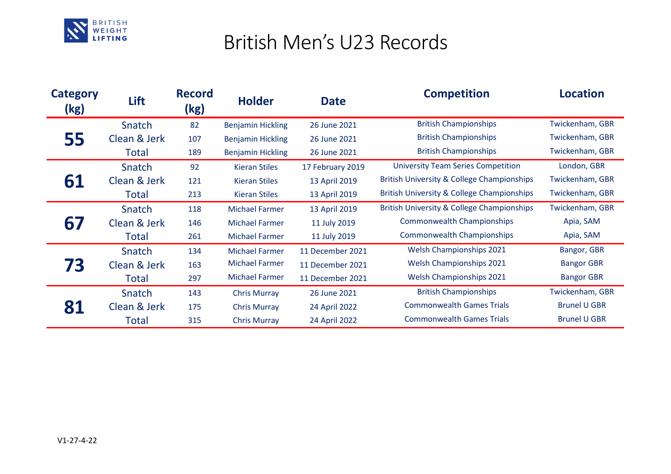

## British Men's U23 Records

| <b>Category</b><br>(kg) | Lift         | <b>Record</b><br>(kg) | <b>Holder</b>            | <b>Date</b>      | <b>Competition</b>                                    | <b>Location</b>     |
|-------------------------|--------------|-----------------------|--------------------------|------------------|-------------------------------------------------------|---------------------|
| 55                      | Snatch       | 82                    | <b>Benjamin Hickling</b> | 26 June 2021     | <b>British Championships</b>                          | Twickenham, GBR     |
|                         | Clean & Jerk | 107                   | <b>Benjamin Hickling</b> | 26 June 2021     | <b>British Championships</b>                          | Twickenham, GBR     |
|                         | Total        | 189                   | <b>Benjamin Hickling</b> | 26 June 2021     | <b>British Championships</b>                          | Twickenham, GBR     |
| 61                      | Snatch       | 92                    | <b>Kieran Stiles</b>     | 17 February 2019 | <b>University Team Series Competition</b>             | London, GBR         |
|                         | Clean & Jerk | 121                   | <b>Kieran Stiles</b>     | 13 April 2019    | <b>British University &amp; College Championships</b> | Twickenham, GBR     |
|                         | Total        | 213                   | <b>Kieran Stiles</b>     | 13 April 2019    | <b>British University &amp; College Championships</b> | Twickenham, GBR     |
| 67                      | Snatch       | 118                   | <b>Michael Farmer</b>    | 13 April 2019    | <b>British University &amp; College Championships</b> | Twickenham, GBR     |
|                         | Clean & Jerk | 146                   | <b>Michael Farmer</b>    | 11 July 2019     | <b>Commonwealth Championships</b>                     | Apia, SAM           |
|                         | Total        | 261                   | <b>Michael Farmer</b>    | 11 July 2019     | <b>Commonwealth Championships</b>                     | Apia, SAM           |
| 73                      | Snatch       | 134                   | <b>Michael Farmer</b>    | 11 December 2021 | Welsh Championships 2021                              | Bangor, GBR         |
|                         | Clean & Jerk | 163                   | <b>Michael Farmer</b>    | 11 December 2021 | <b>Welsh Championships 2021</b>                       | <b>Bangor GBR</b>   |
|                         | Total        | 297                   | <b>Michael Farmer</b>    | 11 December 2021 | <b>Welsh Championships 2021</b>                       | <b>Bangor GBR</b>   |
|                         | Snatch       | 143                   | <b>Chris Murray</b>      | 26 June 2021     | <b>British Championships</b>                          | Twickenham, GBR     |
|                         | Clean & Jerk | 175                   | <b>Chris Murray</b>      | 24 April 2022    | <b>Commonwealth Games Trials</b>                      | <b>Brunel U GBR</b> |
|                         | Total        | 315                   | <b>Chris Murray</b>      | 24 April 2022    | <b>Commonwealth Games Trials</b>                      | <b>Brunel U GBR</b> |